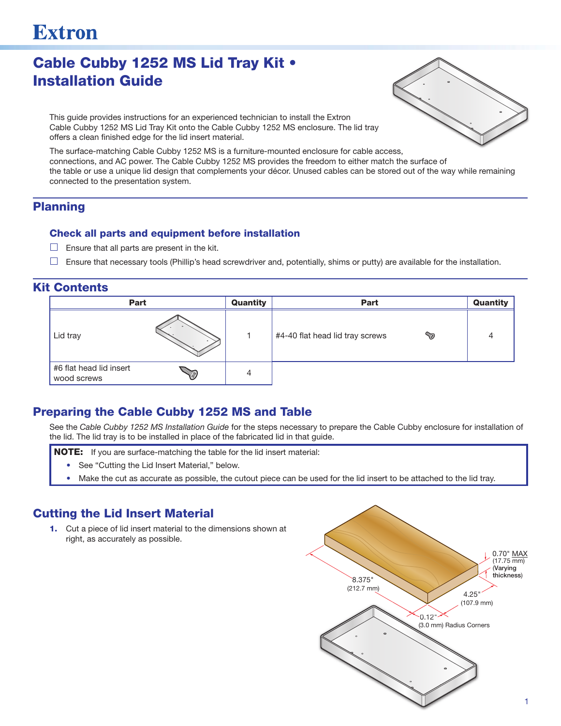# **Extron**

# Cable Cubby 1252 MS Lid Tray Kit • Installation Guide



This guide provides instructions for an experienced technician to install the Extron Cable Cubby 1252 MS Lid Tray Kit onto the Cable Cubby 1252 MS enclosure. The lid tray offers a clean finished edge for the lid insert material.

The surface-matching Cable Cubby 1252 MS is a furniture-mounted enclosure for cable access, connections, and AC power. The Cable Cubby 1252 MS provides the freedom to either match the surface of the table or use a unique lid design that complements your décor. Unused cables can be stored out of the way while remaining connected to the presentation system.

#### Planning

#### Check all parts and equipment before installation

- $\Box$  Ensure that all parts are present in the kit.
- $\Box$  Ensure that necessary tools (Phillip's head screwdriver and, potentially, shims or putty) are available for the installation.

#### Kit Contents



#### Preparing the Cable Cubby 1252 MS and Table

See the *Cable Cubby 1252 MS Installation Guide* for the steps necessary to prepare the Cable Cubby enclosure for installation of the lid. The lid tray is to be installed in place of the fabricated lid in that guide.

- **NOTE:** If you are surface-matching the table for the lid insert material:
	- See "Cutting the Lid Insert Material," below.
	- Make the cut as accurate as possible, the cutout piece can be used for the lid insert to be attached to the lid tray.

## Cutting the Lid Insert Material

1. Cut a piece of lid insert material to the dimensions shown at right, as accurately as possible.